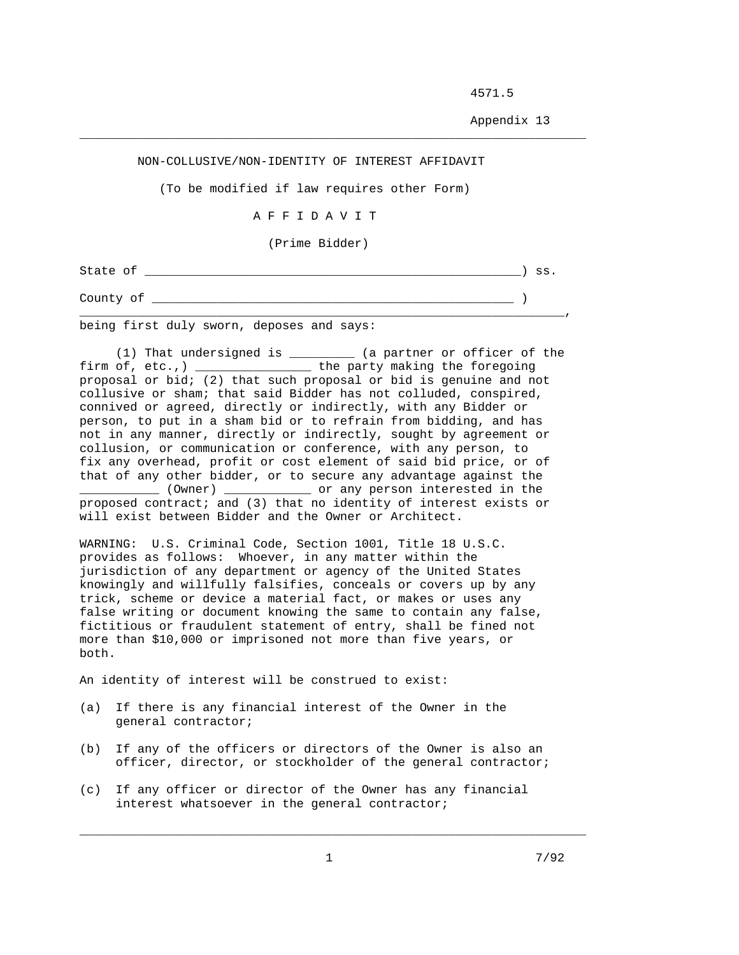4571.5

Appendix 13

|                                                                       | NON-COLLUSIVE/NON-IDENIIIY OF INIERESI AFFIDAVII |     |  |
|-----------------------------------------------------------------------|--------------------------------------------------|-----|--|
|                                                                       | (To be modified if law requires other Form)      |     |  |
|                                                                       | AFFIDAVIT                                        |     |  |
|                                                                       | (Prime Bidder)                                   |     |  |
| State of _______                                                      |                                                  | SS. |  |
| County of $\begin{array}{c} \begin{array}{c} \end{array} \end{array}$ |                                                  |     |  |
|                                                                       |                                                  |     |  |

NON-COLLUSIVE/NON-IDENTITY OF INTEREST AFFIDAVIT

\_\_\_\_\_\_\_\_\_\_\_\_\_\_\_\_\_\_\_\_\_\_\_\_\_\_\_\_\_\_\_\_\_\_\_\_\_\_\_\_\_\_\_\_\_\_\_\_\_\_\_\_\_\_\_\_\_\_\_\_\_\_\_\_\_\_\_\_\_\_

being first duly sworn, deposes and says:

 (1) That undersigned is \_\_\_\_\_\_\_\_\_ (a partner or officer of the firm of, etc.,) \_\_\_\_\_\_\_\_\_\_\_\_\_\_\_\_ the party making the foregoing proposal or bid; (2) that such proposal or bid is genuine and not collusive or sham; that said Bidder has not colluded, conspired, connived or agreed, directly or indirectly, with any Bidder or person, to put in a sham bid or to refrain from bidding, and has not in any manner, directly or indirectly, sought by agreement or collusion, or communication or conference, with any person, to fix any overhead, profit or cost element of said bid price, or of that of any other bidder, or to secure any advantage against the \_\_\_\_\_\_\_\_\_\_\_ (Owner) \_\_\_\_\_\_\_\_\_\_\_\_ or any person interested in the proposed contract; and (3) that no identity of interest exists or will exist between Bidder and the Owner or Architect.

WARNING: U.S. Criminal Code, Section 1001, Title 18 U.S.C. provides as follows: Whoever, in any matter within the jurisdiction of any department or agency of the United States knowingly and willfully falsifies, conceals or covers up by any trick, scheme or device a material fact, or makes or uses any false writing or document knowing the same to contain any false, fictitious or fraudulent statement of entry, shall be fined not more than \$10,000 or imprisoned not more than five years, or both.

An identity of interest will be construed to exist:

- (a) If there is any financial interest of the Owner in the general contractor;
- (b) If any of the officers or directors of the Owner is also an officer, director, or stockholder of the general contractor;
- (c) If any officer or director of the Owner has any financial interest whatsoever in the general contractor;

\_\_\_\_\_\_\_\_\_\_\_\_\_\_\_\_\_\_\_\_\_\_\_\_\_\_\_\_\_\_\_\_\_\_\_\_\_\_\_\_\_\_\_\_\_\_\_\_\_\_\_\_\_\_\_\_\_\_\_\_\_\_\_\_\_\_\_\_\_\_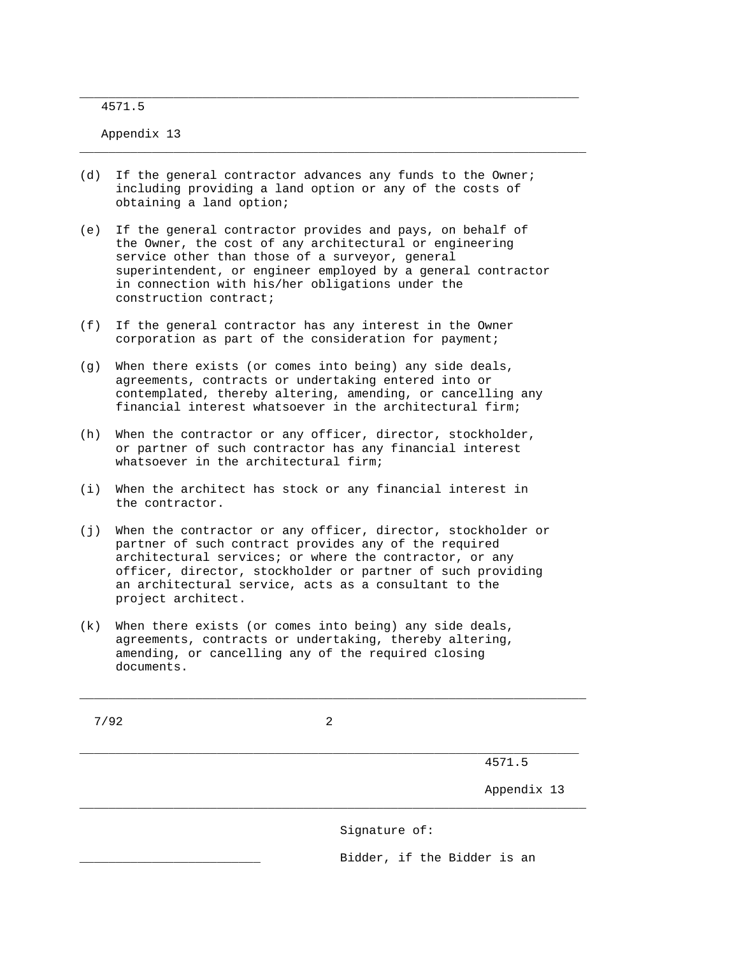4571.5

Appendix 13

(d) If the general contractor advances any funds to the Owner; including providing a land option or any of the costs of obtaining a land option;

\_\_\_\_\_\_\_\_\_\_\_\_\_\_\_\_\_\_\_\_\_\_\_\_\_\_\_\_\_\_\_\_\_\_\_\_\_\_\_\_\_\_\_\_\_\_\_\_\_\_\_\_\_\_\_\_\_\_\_\_\_\_\_\_\_\_\_\_\_

\_\_\_\_\_\_\_\_\_\_\_\_\_\_\_\_\_\_\_\_\_\_\_\_\_\_\_\_\_\_\_\_\_\_\_\_\_\_\_\_\_\_\_\_\_\_\_\_\_\_\_\_\_\_\_\_\_\_\_\_\_\_\_\_\_\_\_\_\_\_

- (e) If the general contractor provides and pays, on behalf of the Owner, the cost of any architectural or engineering service other than those of a surveyor, general superintendent, or engineer employed by a general contractor in connection with his/her obligations under the construction contract;
- (f) If the general contractor has any interest in the Owner corporation as part of the consideration for payment;
- (g) When there exists (or comes into being) any side deals, agreements, contracts or undertaking entered into or contemplated, thereby altering, amending, or cancelling any financial interest whatsoever in the architectural firm;
- (h) When the contractor or any officer, director, stockholder, or partner of such contractor has any financial interest whatsoever in the architectural firm;
- (i) When the architect has stock or any financial interest in the contractor.
- (j) When the contractor or any officer, director, stockholder or partner of such contract provides any of the required architectural services; or where the contractor, or any officer, director, stockholder or partner of such providing an architectural service, acts as a consultant to the project architect.
- (k) When there exists (or comes into being) any side deals, agreements, contracts or undertaking, thereby altering, amending, or cancelling any of the required closing documents.

7/92 2

\_\_\_\_\_\_\_\_\_\_\_\_\_\_\_\_\_\_\_\_\_\_\_\_\_\_\_\_\_\_\_\_\_\_\_\_\_\_\_\_\_\_\_\_\_\_\_\_\_\_\_\_\_\_\_\_\_\_\_\_\_\_\_\_\_\_\_\_\_

\_\_\_\_\_\_\_\_\_\_\_\_\_\_\_\_\_\_\_\_\_\_\_\_\_\_\_\_\_\_\_\_\_\_\_\_\_\_\_\_\_\_\_\_\_\_\_\_\_\_\_\_\_\_\_\_\_\_\_\_\_\_\_\_\_\_\_\_\_\_

\_\_\_\_\_\_\_\_\_\_\_\_\_\_\_\_\_\_\_\_\_\_\_\_\_\_\_\_\_\_\_\_\_\_\_\_\_\_\_\_\_\_\_\_\_\_\_\_\_\_\_\_\_\_\_\_\_\_\_\_\_\_\_\_\_\_\_\_\_\_

4571.5

Appendix 13

Signature of:

Bidder, if the Bidder is an